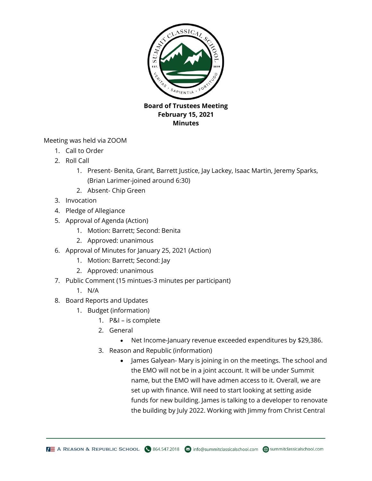

## **Board of Trustees Meeting February 15, 2021 Minutes**

Meeting was held via ZOOM

- 1. Call to Order
- 2. Roll Call
	- 1. Present- Benita, Grant, Barrett Justice, Jay Lackey, Isaac Martin, Jeremy Sparks, (Brian Larimer-joined around 6:30)
	- 2. Absent- Chip Green
- 3. Invocation
- 4. Pledge of Allegiance
- 5. Approval of Agenda (Action)
	- 1. Motion: Barrett; Second: Benita
	- 2. Approved: unanimous
- 6. Approval of Minutes for January 25, 2021 (Action)
	- 1. Motion: Barrett; Second: Jay
	- 2. Approved: unanimous
- 7. Public Comment (15 mintues-3 minutes per participant)
	- 1. N/A
- 8. Board Reports and Updates
	- 1. Budget (information)
		- 1. P&I is complete
		- 2. General
			- Net Income-January revenue exceeded expenditures by \$29,386.
		- 3. Reason and Republic (information)
			- James Galyean- Mary is joining in on the meetings. The school and the EMO will not be in a joint account. It will be under Summit name, but the EMO will have admen access to it. Overall, we are set up with finance. Will need to start looking at setting aside funds for new building. James is talking to a developer to renovate the building by July 2022. Working with Jimmy from Christ Central